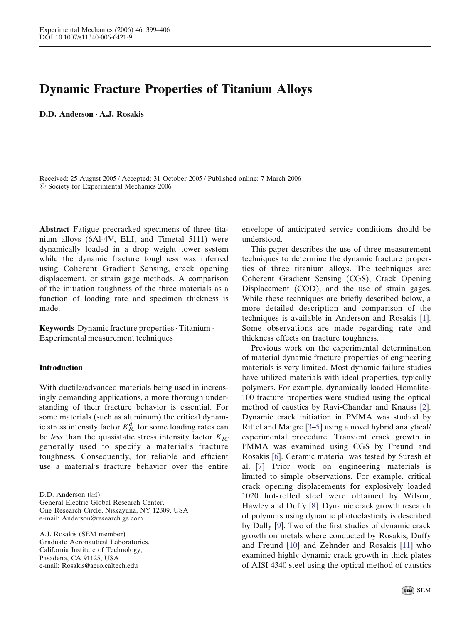# Dynamic Fracture Properties of Titanium Alloys

D.D. Anderson *&* A.J. Rosakis

Received: 25 August 2005 / Accepted: 31 October 2005 / Published online: 7 March 2006  $\oslash$  Society for Experimental Mechanics 2006

Abstract Fatigue precracked specimens of three titanium alloys (6Al-4V, ELI, and Timetal 5111) were dynamically loaded in a drop weight tower system while the dynamic fracture toughness was inferred using Coherent Gradient Sensing, crack opening displacement, or strain gage methods. A comparison of the initiation toughness of the three materials as a function of loading rate and specimen thickness is made.

Keywords Dynamic fracture properties. Titanium . Experimental measurement techniques

#### Introduction

With ductile/advanced materials being used in increasingly demanding applications, a more thorough understanding of their fracture behavior is essential. For some materials (such as aluminum) the critical dynamic stress intensity factor  $K^d_{IC}$  for some loading rates can be less than the quasistatic stress intensity factor  $K_{IC}$ generally used to specify a material's fracture toughness. Consequently, for reliable and efficient use a material's fracture behavior over the entire

D.D. Anderson ( $\boxtimes$ ) General Electric Global Research Center, One Research Circle, Niskayuna, NY 12309, USA e-mail: Anderson@research.ge.com

A.J. Rosakis (SEM member) Graduate Aeronautical Laboratories, California Institute of Technology, Pasadena, CA 91125, USA e-mail: Rosakis@aero.caltech.edu

envelope of anticipated service conditions should be understood.

This paper describes the use of three measurement techniques to determine the dynamic fracture properties of three titanium alloys. The techniques are: Coherent Gradient Sensing (CGS), Crack Opening Displacement (COD), and the use of strain gages. While these techniques are briefly described below, a more detailed description and comparison of the techniques is available in Anderson and Rosakis [\[1\]](#page-6-0). Some observations are made regarding rate and thickness effects on fracture toughness.

Previous work on the experimental determination of material dynamic fracture properties of engineering materials is very limited. Most dynamic failure studies have utilized materials with ideal properties, typically polymers. For example, dynamically loaded Homalite-100 fracture properties were studied using the optical method of caustics by Ravi-Chandar and Knauss [\[2\]](#page-6-0). Dynamic crack initiation in PMMA was studied by Rittel and Maigre [[3–5\]](#page-6-0) using a novel hybrid analytical/ experimental procedure. Transient crack growth in PMMA was examined using CGS by Freund and Rosakis [[6\]](#page-6-0). Ceramic material was tested by Suresh et al. [\[7](#page-6-0)]. Prior work on engineering materials is limited to simple observations. For example, critical crack opening displacements for explosively loaded 1020 hot-rolled steel were obtained by Wilson, Hawley and Duffy [\[8](#page-7-0)]. Dynamic crack growth research of polymers using dynamic photoelasticity is described by Dally [[9\]](#page-7-0). Two of the first studies of dynamic crack growth on metals where conducted by Rosakis, Duffy and Freund [\[10](#page-7-0)] and Zehnder and Rosakis [[11\]](#page-7-0) who examined highly dynamic crack growth in thick plates of AISI 4340 steel using the optical method of caustics

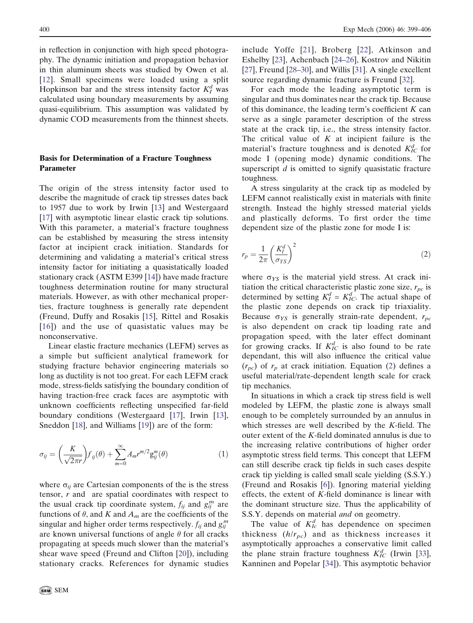<span id="page-1-0"></span>in reflection in conjunction with high speed photography. The dynamic initiation and propagation behavior in thin aluminum sheets was studied by Owen et al. [[12\]](#page-7-0). Small specimens were loaded using a split Hopkinson bar and the stress intensity factor  $K_I^d$  was calculated using boundary measurements by assuming quasi-equilibrium. This assumption was validated by dynamic COD measurements from the thinnest sheets.

## Basis for Determination of a Fracture Toughness Parameter

The origin of the stress intensity factor used to describe the magnitude of crack tip stresses dates back to 1957 due to work by Irwin [\[13](#page-7-0)] and Westergaard [[17\]](#page-7-0) with asymptotic linear elastic crack tip solutions. With this parameter, a material's fracture toughness can be established by measuring the stress intensity factor at incipient crack initiation. Standards for determining and validating a material's critical stress intensity factor for initiating a quasistatically loaded stationary crack (ASTM E399 [\[14\]](#page-7-0)) have made fracture toughness determination routine for many structural materials. However, as with other mechanical properties, fracture toughness is generally rate dependent (Freund, Duffy and Rosakis [[15\]](#page-7-0), Rittel and Rosakis [[16\]](#page-7-0)) and the use of quasistatic values may be nonconservative.

Linear elastic fracture mechanics (LEFM) serves as a simple but sufficient analytical framework for studying fracture behavior engineering materials so long as ductility is not too great. For each LEFM crack mode, stress-fields satisfying the boundary condition of having traction-free crack faces are asymptotic with unknown coefficients reflecting unspecified far-field boundary conditions (Westergaard [\[17](#page-7-0)], Irwin [[13\]](#page-7-0), Sneddon [\[18](#page-7-0)], and Williams [[19\]](#page-7-0)) are of the form:

$$
\sigma_{ij} = \left(\frac{K}{\sqrt{2\pi r}}\right) f_{ij}(\theta) + \sum_{m=0}^{\infty} A_m r^{m/2} g_{ij}^m(\theta) \tag{1}
$$

where  $\sigma_{ii}$  are Cartesian components of the is the stress tensor, r and are spatial coordinates with respect to the usual crack tip coordinate system,  $f_{ij}$  and  $g_{ij}^m$  are functions of  $\theta$ , and K and  $A_m$  are the coefficients of the singular and higher order terms respectively.  $f_{ij}$  and  $g_{ij}^m$ are known universal functions of angle  $\theta$  for all cracks propagating at speeds much slower than the material's shear wave speed (Freund and Clifton [[20\]](#page-7-0)), including stationary cracks. References for dynamic studies include Yoffe [[21](#page-7-0)], Broberg [\[22\]](#page-7-0), Atkinson and Eshelby [\[23](#page-7-0)], Achenbach [[24–26\]](#page-7-0), Kostrov and Nikitin [[27\]](#page-7-0), Freund [[28–30\]](#page-7-0), and Willis [[31\]](#page-7-0). A single excellent source regarding dynamic fracture is Freund [\[32](#page-7-0)].

For each mode the leading asymptotic term is singular and thus dominates near the crack tip. Because of this dominance, the leading term's coefficient  $K$  can serve as a single parameter description of the stress state at the crack tip, i.e., the stress intensity factor. The critical value of  $K$  at incipient failure is the material's fracture toughness and is denoted  $K_{IC}^d$  for mode I (opening mode) dynamic conditions. The superscript  $d$  is omitted to signify quasistatic fracture toughness.

A stress singularity at the crack tip as modeled by LEFM cannot realistically exist in materials with finite strength. Instead the highly stressed material yields and plastically deforms. To first order the time dependent size of the plastic zone for mode I is:

$$
r_p = \frac{1}{2\pi} \left(\frac{K_I^d}{\sigma_{YS}}\right)^2 \tag{2}
$$

where  $\sigma_{YS}$  is the material yield stress. At crack initiation the critical characteristic plastic zone size,  $r_{pc}$  is determined by setting  $K_I^d = K_{IC}^d$ . The actual shape of the plastic zone depends on crack tip triaxiality. Because  $\sigma_{YS}$  is generally strain-rate dependent,  $r_{pc}$ is also dependent on crack tip loading rate and propagation speed, with the later effect dominant for growing cracks. If  $K_{IC}^d$  is also found to be rate dependant, this will also influence the critical value  $(r_{pc})$  of  $r_p$  at crack initiation. Equation (2) defines a useful material/rate-dependent length scale for crack tip mechanics.

In situations in which a crack tip stress field is well modeled by LEFM, the plastic zone is always small enough to be completely surrounded by an annulus in which stresses are well described by the K-field. The outer extent of the K-field dominated annulus is due to the increasing relative contributions of higher order asymptotic stress field terms. This concept that LEFM can still describe crack tip fields in such cases despite crack tip yielding is called small scale yielding (S.S.Y.) (Freund and Rosakis [\[6](#page-6-0)]). Ignoring material yielding effects, the extent of  $K$ -field dominance is linear with the dominant structure size. Thus the applicability of S.S.Y. depends on material *and* on geometry.

The value of  $K_{Ic}^{d}$  has dependence on specimen thickness  $(h/r_{pc})$  and as thickness increases it asymptotically approaches a conservative limit called the plane strain fracture toughness  $K_{IC}^d$  (Irwin [\[33\]](#page-7-0), Kanninen and Popelar [[34\]](#page-7-0)). This asymptotic behavior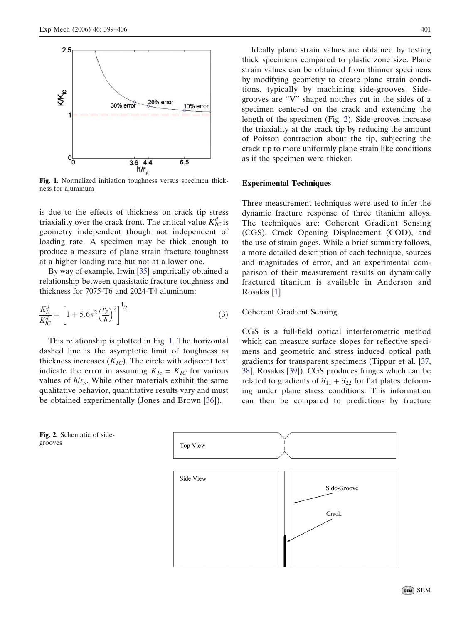<span id="page-2-0"></span>

Fig. 1. Normalized initiation toughness versus specimen thickness for aluminum

is due to the effects of thickness on crack tip stress triaxiality over the crack front. The critical value  $K_{IC}^d$  is geometry independent though not independent of loading rate. A specimen may be thick enough to produce a measure of plane strain fracture toughness at a higher loading rate but not at a lower one.

By way of example, Irwin [[35](#page-7-0)] empirically obtained a relationship between quasistatic fracture toughness and thickness for 7075-T6 and 2024-T4 aluminum:

$$
\frac{K_{lc}^d}{K_{IC}^d} = \left[1 + 5.6\pi^2 \left(\frac{r_p}{h}\right)^2\right]^{1/2} \tag{3}
$$

This relationship is plotted in Fig. 1. The horizontal dashed line is the asymptotic limit of toughness as thickness increases  $(K_{IC})$ . The circle with adjacent text indicate the error in assuming  $K_{Ic} = K_{IC}$  for various values of  $h/r_p$ . While other materials exhibit the same qualitative behavior, quantitative results vary and must be obtained experimentally (Jones and Brown [[36\]](#page-7-0)).

Ideally plane strain values are obtained by testing thick specimens compared to plastic zone size. Plane strain values can be obtained from thinner specimens by modifying geometry to create plane strain conditions, typically by machining side-grooves. Sidegrooves are "V" shaped notches cut in the sides of a specimen centered on the crack and extending the length of the specimen (Fig. 2). Side-grooves increase the triaxiality at the crack tip by reducing the amount of Poisson contraction about the tip, subjecting the crack tip to more uniformly plane strain like conditions as if the specimen were thicker.

#### Experimental Techniques

Three measurement techniques were used to infer the dynamic fracture response of three titanium alloys. The techniques are: Coherent Gradient Sensing (CGS), Crack Opening Displacement (COD), and the use of strain gages. While a brief summary follows, a more detailed description of each technique, sources and magnitudes of error, and an experimental comparison of their measurement results on dynamically fractured titanium is available in Anderson and Rosakis [[1\]](#page-6-0).

## Coherent Gradient Sensing

CGS is a full-field optical interferometric method which can measure surface slopes for reflective specimens and geometric and stress induced optical path gradients for transparent specimens (Tippur et al. [\[37](#page-7-0), [38\]](#page-7-0), Rosakis [\[39](#page-7-0)]). CGS produces fringes which can be related to gradients of  $\hat{\sigma}_{11} + \hat{\sigma}_{22}$  for flat plates deforming under plane stress conditions. This information can then be compared to predictions by fracture





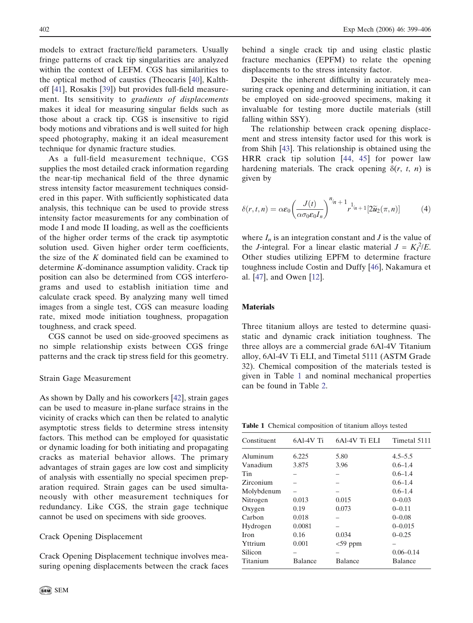models to extract fracture/field parameters. Usually fringe patterns of crack tip singularities are analyzed within the context of LEFM. CGS has similarities to the optical method of caustics (Theocaris [\[40](#page-7-0)], Kalthoff [[41\]](#page-7-0), Rosakis [[39\]](#page-7-0)) but provides full-field measurement. Its sensitivity to gradients of displacements makes it ideal for measuring singular fields such as those about a crack tip. CGS is insensitive to rigid body motions and vibrations and is well suited for high speed photography, making it an ideal measurement technique for dynamic fracture studies.

As a full-field measurement technique, CGS supplies the most detailed crack information regarding the near-tip mechanical field of the three dynamic stress intensity factor measurement techniques considered in this paper. With sufficiently sophisticated data analysis, this technique can be used to provide stress intensity factor measurements for any combination of mode I and mode II loading, as well as the coefficients of the higher order terms of the crack tip asymptotic solution used. Given higher order term coefficients, the size of the  $K$  dominated field can be examined to determine K-dominance assumption validity. Crack tip position can also be determined from CGS interferograms and used to establish initiation time and calculate crack speed. By analyzing many well timed images from a single test, CGS can measure loading rate, mixed mode initiation toughness, propagation toughness, and crack speed.

CGS cannot be used on side-grooved specimens as no simple relationship exists between CGS fringe patterns and the crack tip stress field for this geometry.

#### Strain Gage Measurement

As shown by Dally and his coworkers [\[42](#page-7-0)], strain gages can be used to measure in-plane surface strains in the vicinity of cracks which can then be related to analytic asymptotic stress fields to determine stress intensity factors. This method can be employed for quasistatic or dynamic loading for both initiating and propagating cracks as material behavior allows. The primary advantages of strain gages are low cost and simplicity of analysis with essentially no special specimen preparation required. Strain gages can be used simultaneously with other measurement techniques for redundancy. Like CGS, the strain gage technique cannot be used on specimens with side grooves.

#### Crack Opening Displacement

Crack Opening Displacement technique involves measuring opening displacements between the crack faces behind a single crack tip and using elastic plastic fracture mechanics (EPFM) to relate the opening displacements to the stress intensity factor.

Despite the inherent difficulty in accurately measuring crack opening and determining initiation, it can be employed on side-grooved specimens, making it invaluable for testing more ductile materials (still falling within SSY).

The relationship between crack opening displacement and stress intensity factor used for this work is from Shih [\[43](#page-7-0)]. This relationship is obtained using the HRR crack tip solution [[44,](#page-7-0) [45\]](#page-7-0) for power law hardening materials. The crack opening  $\delta(r, t, n)$  is given by

$$
\delta(r,t,n) = \alpha \varepsilon_0 \left(\frac{J(t)}{\alpha \sigma_0 \varepsilon_0 I_n}\right)^{n_{/n}+1} r^{1_{/n}+1} \left[2\widetilde{u}_2(\pi,n)\right] \tag{4}
$$

where  $I_n$  is an integration constant and  $J$  is the value of the *J*-integral. For a linear elastic material  $J = K_I^2/E$ . Other studies utilizing EPFM to determine fracture toughness include Costin and Duffy [[46\]](#page-7-0), Nakamura et al. [[47\]](#page-7-0), and Owen [[12\]](#page-7-0).

#### **Materials**

Three titanium alloys are tested to determine quasistatic and dynamic crack initiation toughness. The three alloys are a commercial grade 6Al-4V Titanium alloy, 6Al-4V Ti ELI, and Timetal 5111 (ASTM Grade 32). Chemical composition of the materials tested is given in Table 1 and nominal mechanical properties can be found in Table [2](#page-4-0).

Table 1 Chemical composition of titanium alloys tested

| Constituent | 6Al-4V Ti | 6Al-4V Ti ELI  | Timetal 5111  |
|-------------|-----------|----------------|---------------|
| Aluminum    | 6.225     | 5.80           | $4.5 - 5.5$   |
| Vanadium    | 3.875     | 3.96           | $0.6 - 1.4$   |
| Tin         |           |                | $0.6 - 1.4$   |
| Zirconium   |           |                | $0.6 - 1.4$   |
| Molybdenum  |           |                | $0.6 - 1.4$   |
| Nitrogen    | 0.013     | 0.015          | $0 - 0.03$    |
| Oxygen      | 0.19      | 0.073          | $0 - 0.11$    |
| Carbon      | 0.018     |                | $0 - 0.08$    |
| Hydrogen    | 0.0081    |                | $0 - 0.015$   |
| <b>Iron</b> | 0.16      | 0.034          | $0 - 0.25$    |
| Yttrium     | 0.001     | $<$ 59 ppm     |               |
| Silicon     |           |                | $0.06 - 0.14$ |
| Titanium    | Balance   | <b>Balance</b> | Balance       |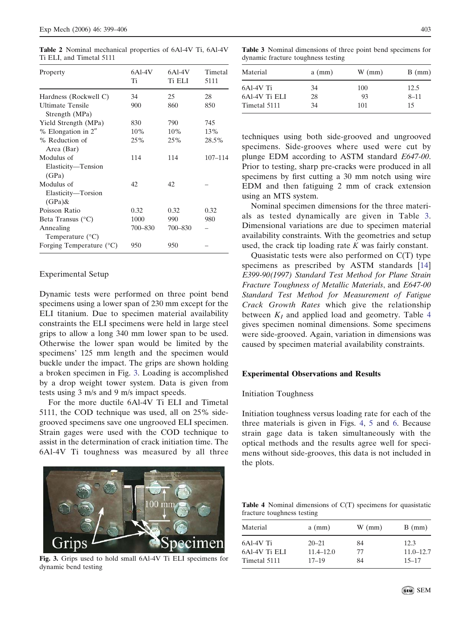| Property                                      | $6Al-4V$<br>Ti | $6Al-4V$<br><b>Ti ELI</b> | Timetal<br>5111 |
|-----------------------------------------------|----------------|---------------------------|-----------------|
| Hardness (Rockwell C)                         | 34             | 25                        | 28              |
| <b>Ultimate Tensile</b><br>Strength (MPa)     | 900            | 860                       | 850             |
| Yield Strength (MPa)                          | 830            | 790                       | 745             |
| % Elongation in 2"                            | 10%            | 10%                       | 13%             |
| % Reduction of<br>Area (Bar)                  | 25%            | 25%                       | 28.5%           |
| Modulus of<br>Elasticity-Tension<br>(GPa)     | 114            | 114                       | $107 - 114$     |
| Modulus of<br>Elasticity-Torsion<br>$(GPa)$ & | 42             | 42                        |                 |
| Poisson Ratio                                 | 0.32           | 0.32                      | 0.32            |
| Beta Transus $(^{\circ}C)$                    | 1000           | 990                       | 980             |
| Annealing<br>Temperature $(^{\circ}C)$        | 700-830        | 700-830                   |                 |
| Forging Temperature $(^{\circ}C)$             | 950            | 950                       |                 |
|                                               |                |                           |                 |

<span id="page-4-0"></span>Table 2 Nominal mechanical properties of 6Al-4V Ti, 6Al-4V Ti ELI, and Timetal 5111

# Experimental Setup

Dynamic tests were performed on three point bend specimens using a lower span of 230 mm except for the ELI titanium. Due to specimen material availability constraints the ELI specimens were held in large steel grips to allow a long 340 mm lower span to be used. Otherwise the lower span would be limited by the specimens' 125 mm length and the specimen would buckle under the impact. The grips are shown holding a broken specimen in Fig. 3. Loading is accomplished by a drop weight tower system. Data is given from tests using 3 m/s and 9 m/s impact speeds.

For the more ductile 6Al-4V Ti ELI and Timetal 5111, the COD technique was used, all on 25% sidegrooved specimens save one ungrooved ELI specimen. Strain gages were used with the COD technique to assist in the determination of crack initiation time. The 6Al-4V Ti toughness was measured by all three



Fig. 3. Grips used to hold small 6Al-4V Ti ELI specimens for dynamic bend testing

Table 3 Nominal dimensions of three point bend specimens for dynamic fracture toughness testing

| Material      | $a$ (mm) | $W$ (mm) | $B$ (mm) |
|---------------|----------|----------|----------|
| 6Al-4V Ti     | 34       | 100      | 12.5     |
| 6Al-4V Ti ELI | 28       | 93       | $8 - 11$ |
| Timetal 5111  | 34       | 101      | 15       |

techniques using both side-grooved and ungrooved specimens. Side-grooves where used were cut by plunge EDM according to ASTM standard E647-00. Prior to testing, sharp pre-cracks were produced in all specimens by first cutting a 30 mm notch using wire EDM and then fatiguing 2 mm of crack extension using an MTS system.

Nominal specimen dimensions for the three materials as tested dynamically are given in Table 3. Dimensional variations are due to specimen material availability constraints. With the geometries and setup  $\alpha$  availability constraints. While the geometries and setup used, the crack tip loading rate  $K$  was fairly constant.

Quasistatic tests were also performed on C(T) type specimens as prescribed by ASTM standards [\[14](#page-7-0)] E399-90(1997) Standard Test Method for Plane Strain Fracture Toughness of Metallic Materials, and E647-00 Standard Test Method for Measurement of Fatigue Crack Growth Rates which give the relationship between  $K_I$  and applied load and geometry. Table 4 gives specimen nominal dimensions. Some specimens were side-grooved. Again, variation in dimensions was caused by specimen material availability constraints.

#### Experimental Observations and Results

## Initiation Toughness

Initiation toughness versus loading rate for each of the three materials is given in Figs. [4,](#page-5-0) [5](#page-5-0) and [6.](#page-5-0) Because strain gage data is taken simultaneously with the optical methods and the results agree well for specimens without side-grooves, this data is not included in the plots.

Table 4 Nominal dimensions of C(T) specimens for quasistatic fracture toughness testing

| Material      | $a$ (mm)      | $W$ (mm) | $B$ (mm)      |
|---------------|---------------|----------|---------------|
| 6Al-4V Ti     | $20 - 21$     | 84       | 12.3          |
| 6Al-4V Ti ELI | $11.4 - 12.0$ | 77       | $11.0 - 12.7$ |
| Timetal 5111  | $17 - 19$     | 84       | $15 - 17$     |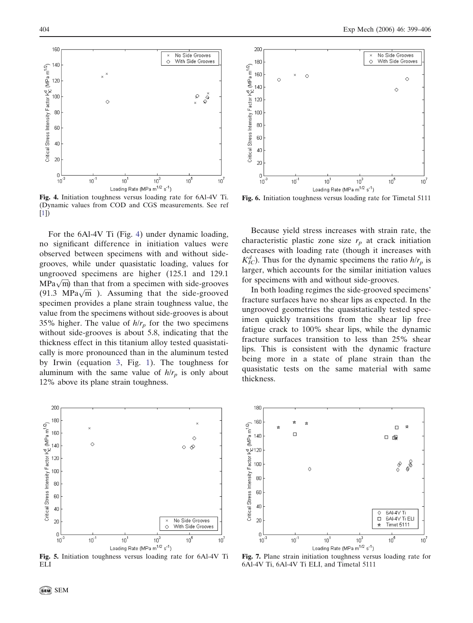<span id="page-5-0"></span>

Fig. 4. Initiation toughness versus loading rate for 6Al-4V Ti. (Dynamic values from COD and CGS measurements. See ref [\[1\]](#page-6-0))

For the 6Al-4V Ti (Fig. 4) under dynamic loading, no significant difference in initiation values were observed between specimens with and without sidegrooves, while under quasistatic loading, values for ungrooved specimens are higher (125.1 and 129.1  $MPa\sqrt{m}$ ) than that from a specimen with side-grooves  $(91.3 \text{ MPa}\sqrt{\text{m}})$ . Assuming that the side-grooved specimen provides a plane strain toughness value, the value from the specimens without side-grooves is about 35% higher. The value of  $h/r_p$  for the two specimens without side-grooves is about 5.8, indicating that the thickness effect in this titanium alloy tested quasistatically is more pronounced than in the aluminum tested by Irwin (equation [3,](#page-2-0) Fig. [1](#page-2-0)). The toughness for aluminum with the same value of  $h/r_p$  is only about 12% above its plane strain toughness.



Fig. 5. Initiation toughness versus loading rate for 6Al-4V Ti ELI



Fig. 6. Initiation toughness versus loading rate for Timetal 5111

Because yield stress increases with strain rate, the characteristic plastic zone size  $r_p$  at crack initiation decreases with loading rate (though it increases with  $K_{IC}^d$ ). Thus for the dynamic specimens the ratio  $h/r_p$  is larger, which accounts for the similar initiation values for specimens with and without side-grooves.

In both loading regimes the side-grooved specimens' fracture surfaces have no shear lips as expected. In the ungrooved geometries the quasistatically tested specimen quickly transitions from the shear lip free fatigue crack to 100% shear lips, while the dynamic fracture surfaces transition to less than 25% shear lips. This is consistent with the dynamic fracture being more in a state of plane strain than the quasistatic tests on the same material with same thickness.



Fig. 7. Plane strain initiation toughness versus loading rate for 6Al-4V Ti, 6Al-4V Ti ELI, and Timetal 5111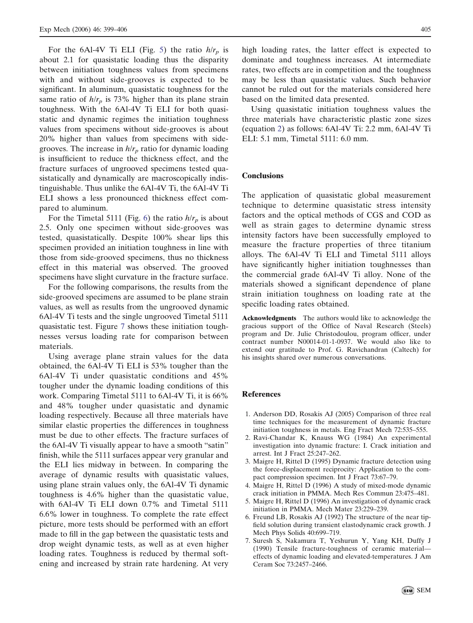<span id="page-6-0"></span>For the 6Al-4V Ti ELI (Fig. [5\)](#page-5-0) the ratio  $h/r_p$  is about 2.1 for quasistatic loading thus the disparity between initiation toughness values from specimens with and without side-grooves is expected to be significant. In aluminum, quasistatic toughness for the same ratio of  $h/r_p$  is 73% higher than its plane strain toughness. With the 6Al-4V Ti ELI for both quasistatic and dynamic regimes the initiation toughness values from specimens without side-grooves is about 20% higher than values from specimens with sidegrooves. The increase in  $h/r_p$  ratio for dynamic loading is insufficient to reduce the thickness effect, and the fracture surfaces of ungrooved specimens tested quasistatically and dynamically are macroscopically indistinguishable. Thus unlike the 6Al-4V Ti, the 6Al-4V Ti ELI shows a less pronounced thickness effect compared to aluminum.

For the Timetal 5111 (Fig. [6\)](#page-5-0) the ratio  $h/r_p$  is about 2.5. Only one specimen without side-grooves was tested, quasistatically. Despite 100% shear lips this specimen provided an initiation toughness in line with those from side-grooved specimens, thus no thickness effect in this material was observed. The grooved specimens have slight curvature in the fracture surface.

For the following comparisons, the results from the side-grooved specimens are assumed to be plane strain values, as well as results from the ungrooved dynamic 6Al-4V Ti tests and the single ungrooved Timetal 5111 quasistatic test. Figure [7](#page-5-0) shows these initiation toughnesses versus loading rate for comparison between materials.

Using average plane strain values for the data obtained, the 6Al-4V Ti ELI is 53% tougher than the 6Al-4V Ti under quasistatic conditions and 45% tougher under the dynamic loading conditions of this work. Comparing Timetal 5111 to 6Al-4V Ti, it is 66% and 48% tougher under quasistatic and dynamic loading respectively. Because all three materials have similar elastic properties the differences in toughness must be due to other effects. The fracture surfaces of the 6Al-4V Ti visually appear to have a smooth "satin" finish, while the 5111 surfaces appear very granular and the ELI lies midway in between. In comparing the average of dynamic results with quasistatic values, using plane strain values only, the 6Al-4V Ti dynamic toughness is 4.6% higher than the quasistatic value, with 6Al-4V Ti ELI down 0.7% and Timetal 5111 6.6% lower in toughness. To complete the rate effect picture, more tests should be performed with an effort made to fill in the gap between the quasistatic tests and drop weight dynamic tests, as well as at even higher loading rates. Toughness is reduced by thermal softening and increased by strain rate hardening. At very

high loading rates, the latter effect is expected to dominate and toughness increases. At intermediate rates, two effects are in competition and the toughness may be less than quasistatic values. Such behavior cannot be ruled out for the materials considered here based on the limited data presented.

Using quasistatic initiation toughness values the three materials have characteristic plastic zone sizes (equation [2\)](#page-1-0) as follows: 6Al-4V Ti: 2.2 mm, 6Al-4V Ti ELI: 5.1 mm, Timetal 5111: 6.0 mm.

#### **Conclusions**

The application of quasistatic global measurement technique to determine quasistatic stress intensity factors and the optical methods of CGS and COD as well as strain gages to determine dynamic stress intensity factors have been successfully employed to measure the fracture properties of three titanium alloys. The 6Al-4V Ti ELI and Timetal 5111 alloys have significantly higher initiation toughnesses than the commercial grade 6Al-4V Ti alloy. None of the materials showed a significant dependence of plane strain initiation toughness on loading rate at the specific loading rates obtained.

Acknowledgments The authors would like to acknowledge the gracious support of the Office of Naval Research (Steels) program and Dr. Julie Christodoulou, program officer, under contract number N00014-01-1-0937. We would also like to extend our gratitude to Prof. G. Ravichandran (Caltech) for his insights shared over numerous conversations.

## References

- 1. Anderson DD, Rosakis AJ (2005) Comparison of three real time techniques for the measurement of dynamic fracture initiation toughness in metals. Eng Fract Mech 72:535–555.
- 2. Ravi-Chandar K, Knauss WG (1984) An experimental investigation into dynamic fracture: I. Crack initiation and arrest. Int J Fract 25:247–262.
- 3. Maigre H, Rittel D (1995) Dynamic fracture detection using the force-displacement reciprocity: Application to the compact compression specimen. Int J Fract 73:67–79.
- 4. Maigre H, Rittel D (1996) A study of mixed-mode dynamic crack initiation in PMMA. Mech Res Commun 23:475–481.
- 5. Maigre H, Rittel D (1996) An investigation of dynamic crack initiation in PMMA. Mech Mater 23:229–239.
- 6. Freund LB, Rosakis AJ (1992) The structure of the near tipfield solution during transient elastodynamic crack growth. J Mech Phys Solids 40:699–719.
- 7. Suresh S, Nakamura T, Yeshurun Y, Yang KH, Duffy J (1990) Tensile fracture-toughness of ceramic material effects of dynamic loading and elevated-temperatures. J Am Ceram Soc 73:2457–2466.